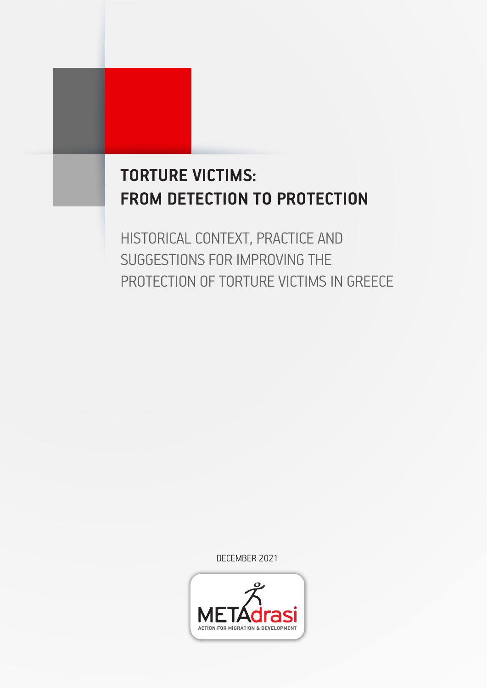# **TORTURE VICTIMS: FROM DETECTION TO PROTECTION**

HISTORICAL CONTEXT, PRACTICE AND SUGGESTIONS FOR IMPROVING THE PROTECTION OF TORTURE VICTIMS IN GREECE

DECEMBER 2021

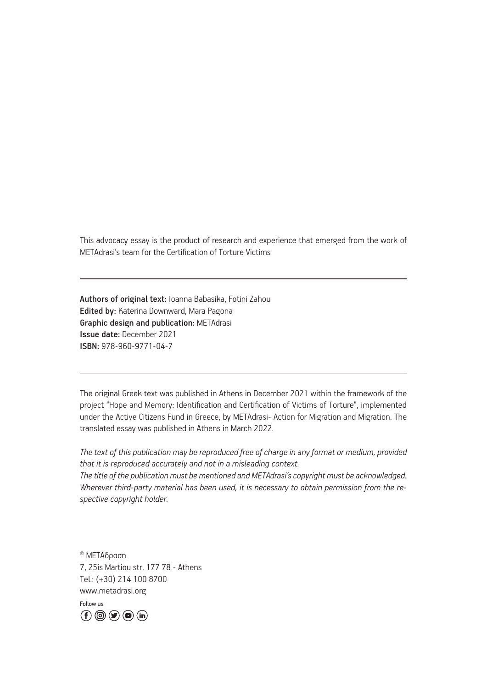This advocacy essay is the product of research and experience that emerged from the work of METAdrasi's team for the Certification of Torture Victims

Authors of original text: Ioanna Babasika, Fotini Zahou Edited by: Katerina Downward, Mara Pagona Graphic design and publication: METAdrasi Issue date: December 2021 ISBN: 978-960-9771-04-7

The original Greek text was published in Athens in December 2021 within the framework of the project "Hope and Memory: Identification and Certification of Victims of Torture", implemented under the Active Citizens Fund in Greece, by METAdrasi- Action for Migration and Migration. The translated essay was published in Athens in March 2022.

*The text of this publication may be reproduced free of charge in any format or medium, provided that it is reproduced accurately and not in a misleading context. The title of the publication must be mentioned and METAdrasi's copyright must be acknowledged. Wherever third-party material has been used, it is necessary to obtain permission from the re-*

© ΜΕΤΑδραση 7, 25is Martiou str, 177 78 - Athens Tel.: (+30) 214 100 8700 www.metadrasi.org

*spective copyright holder.*

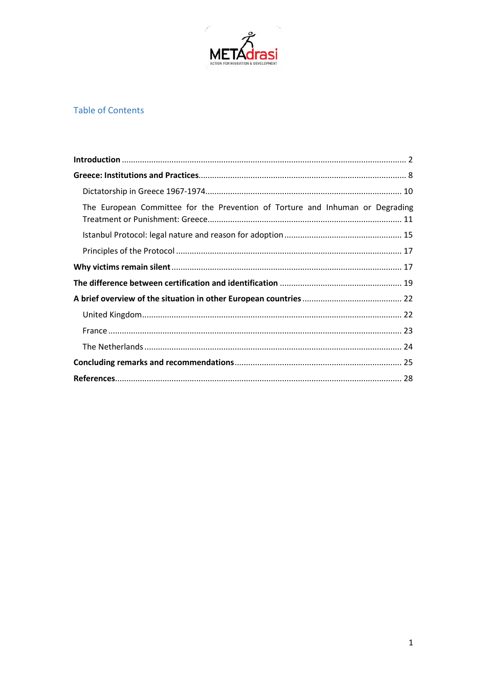

# **Table of Contents**

| The European Committee for the Prevention of Torture and Inhuman or Degrading |  |
|-------------------------------------------------------------------------------|--|
|                                                                               |  |
|                                                                               |  |
|                                                                               |  |
|                                                                               |  |
|                                                                               |  |
|                                                                               |  |
|                                                                               |  |
|                                                                               |  |
|                                                                               |  |
|                                                                               |  |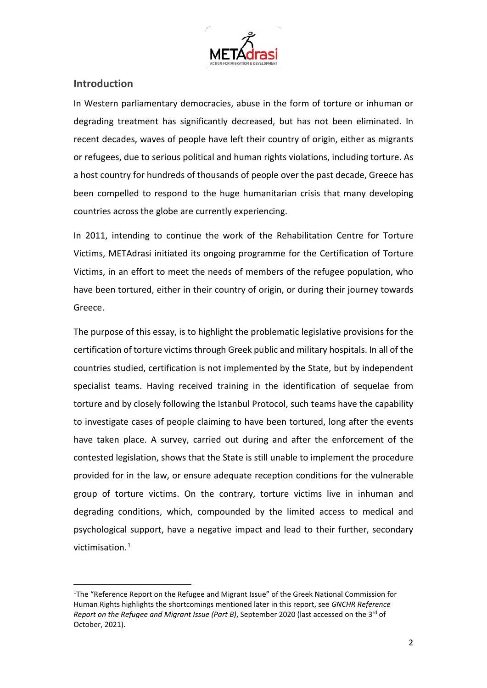

## **Introduction**

**.** 

In Western parliamentary democracies, abuse in the form of torture or inhuman or degrading treatment has significantly decreased, but has not been eliminated. In recent decades, waves of people have left their country of origin, either as migrants or refugees, due to serious political and human rights violations, including torture. As a host country for hundreds of thousands of people over the past decade, Greece has been compelled to respond to the huge humanitarian crisis that many developing countries across the globe are currently experiencing.

In 2011, intending to continue the work of the Rehabilitation Centre for Torture Victims, METAdrasi initiated its ongoing programme for the Certification of Torture Victims, in an effort to meet the needs of members of the refugee population, who have been tortured, either in their country of origin, or during their journey towards Greece.

The purpose of this essay, is to highlight the problematic legislative provisions for the certification of torture victims through Greek public and military hospitals. In all of the countries studied, certification is not implemented by the State, but by independent specialist teams. Having received training in the identification of sequelae from torture and by closely following the Istanbul Protocol, such teams have the capability to investigate cases of people claiming to have been tortured, long after the events have taken place. A survey, carried out during and after the enforcement of the contested legislation, shows that the State is still unable to implement the procedure provided for in the law, or ensure adequate reception conditions for the vulnerable group of torture victims. On the contrary, torture victims live in inhuman and degrading conditions, which, compounded by the limited access to medical and psychological support, have a negative impact and lead to their further, secondary victimisation.[1](#page-3-0)

<span id="page-3-0"></span><sup>&</sup>lt;sup>1</sup>The "Reference Report on the Refugee and Migrant Issue" of the Greek National Commission for Human Rights highlights the shortcomings mentioned later in this report, see *GNCHR Reference Report on the Refugee and Migrant Issue (Part B)*, September 2020 (last accessed on the 3rd of October, 2021).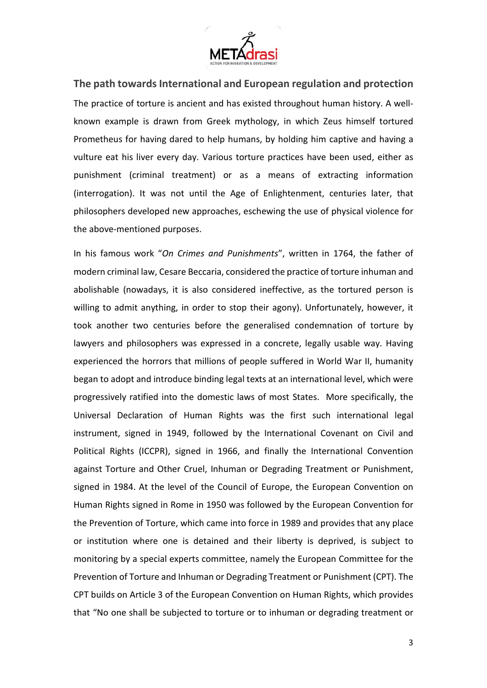

**The path towards International and European regulation and protection** The practice of torture is ancient and has existed throughout human history. A wellknown example is drawn from Greek mythology, in which Zeus himself tortured Prometheus for having dared to help humans, by holding him captive and having a vulture eat his liver every day. Various torture practices have been used, either as punishment (criminal treatment) or as a means of extracting information (interrogation). It was not until the Age of Enlightenment, centuries later, that philosophers developed new approaches, eschewing the use of physical violence for the above-mentioned purposes.

In his famous work "*On Crimes and Punishments*", written in 1764, the father of modern criminal law, Cesare Beccaria, considered the practice of torture inhuman and abolishable (nowadays, it is also considered ineffective, as the tortured person is willing to admit anything, in order to stop their agony). Unfortunately, however, it took another two centuries before the generalised condemnation of torture by lawyers and philosophers was expressed in a concrete, legally usable way. Having experienced the horrors that millions of people suffered in World War II, humanity began to adopt and introduce binding legal texts at an international level, which were progressively ratified into the domestic laws of most States. More specifically, the Universal Declaration of Human Rights was the first such international legal instrument, signed in 1949, followed by the International Covenant on Civil and Political Rights (ICCPR), signed in 1966, and finally the International Convention against Torture and Other Cruel, Inhuman or Degrading Treatment or Punishment, signed in 1984. At the level of the Council of Europe, the European Convention on Human Rights signed in Rome in 1950 was followed by the European Convention for the Prevention of Torture, which came into force in 1989 and provides that any place or institution where one is detained and their liberty is deprived, is subject to monitoring by a special experts committee, namely the European Committee for the Prevention of Torture and Inhuman or Degrading Treatment or Punishment (CPT). The CPT builds on Article 3 of the European Convention on Human Rights, which provides that "No one shall be subjected to torture or to inhuman or degrading treatment or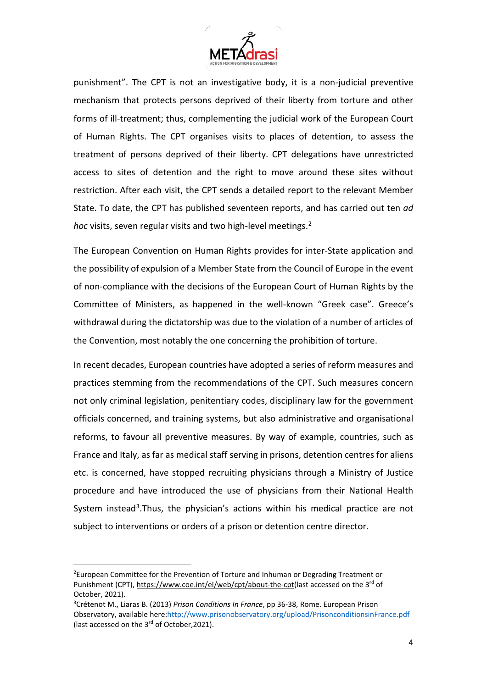

punishment". The CPT is not an investigative body, it is a non-judicial preventive mechanism that protects persons deprived of their liberty from torture and other forms of ill-treatment; thus, complementing the judicial work of the European Court of Human Rights. The CPT organises visits to places of detention, to assess the treatment of persons deprived of their liberty. CPT delegations have unrestricted access to sites of detention and the right to move around these sites without restriction. After each visit, the CPT sends a detailed report to the relevant Member State. To date, the CPT has published seventeen reports, and has carried out ten *ad hoc* visits, seven regular visits and two high-level meetings.<sup>[2](#page-5-0)</sup>

The European Convention on Human Rights provides for inter-State application and the possibility of expulsion of a Member State from the Council of Europe in the event of non-compliance with the decisions of the European Court of Human Rights by the Committee of Ministers, as happened in the well-known "Greek case". Greece's withdrawal during the dictatorship was due to the violation of a number of articles of the Convention, most notably the one concerning the prohibition of torture.

In recent decades, European countries have adopted a series of reform measures and practices stemming from the recommendations of the CPT. Such measures concern not only criminal legislation, penitentiary codes, disciplinary law for the government officials concerned, and training systems, but also administrative and organisational reforms, to favour all preventive measures. By way of example, countries, such as France and Italy, as far as medical staff serving in prisons, detention centres for aliens etc. is concerned, have stopped recruiting physicians through a Ministry of Justice procedure and have introduced the use of physicians from their National Health System instead<sup>3</sup>.Thus, the physician's actions within his medical practice are not subject to interventions or orders of a prison or detention centre director.

 $\overline{a}$ 

<span id="page-5-0"></span><sup>&</sup>lt;sup>2</sup>European Committee for the Prevention of Torture and Inhuman or Degrading Treatment or Punishment (CPT), [https://www.coe.int/el/web/cpt/about-the-cpt\(](https://www.coe.int/el/web/cpt/about-the-cpt)last accessed on the 3<sup>rd</sup> of October, 2021).

<span id="page-5-1"></span><sup>3</sup> Crétenot M., Liaras B. (2013) *Prison Conditions In France*, pp 36-38, Rome. European Prison Observatory, available here[:http://www.prisonobservatory.org/upload/PrisonconditionsinFrance.pdf](http://www.prisonobservatory.org/upload/PrisonconditionsinFrance.pdf) (last accessed on the 3<sup>rd</sup> of October, 2021).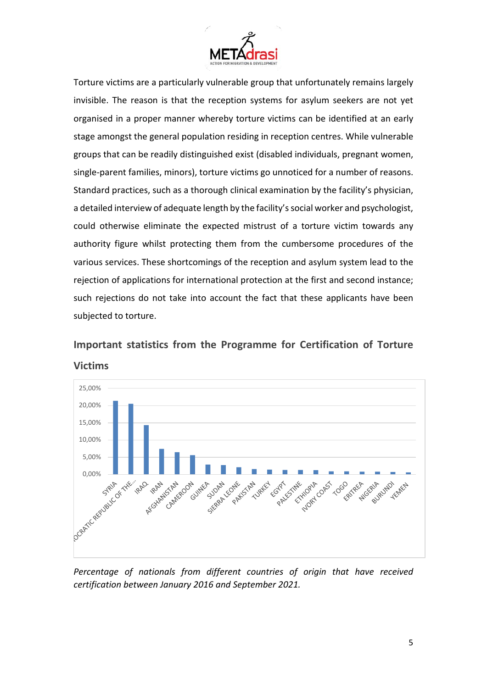

Torture victims are a particularly vulnerable group that unfortunately remains largely invisible. The reason is that the reception systems for asylum seekers are not yet organised in a proper manner whereby torture victims can be identified at an early stage amongst the general population residing in reception centres. While vulnerable groups that can be readily distinguished exist (disabled individuals, pregnant women, single-parent families, minors), torture victims go unnoticed for a number of reasons. Standard practices, such as a thorough clinical examination by the facility's physician, a detailed interview of adequate length by the facility's social worker and psychologist, could otherwise eliminate the expected mistrust of a torture victim towards any authority figure whilst protecting them from the cumbersome procedures of the various services. These shortcomings of the reception and asylum system lead to the rejection of applications for international protection at the first and second instance; such rejections do not take into account the fact that these applicants have been subjected to torture.

**Important statistics from the Programme for Certification of Torture Victims** 



*Percentage of nationals from different countries of origin that have received certification between January 2016 and September 2021.*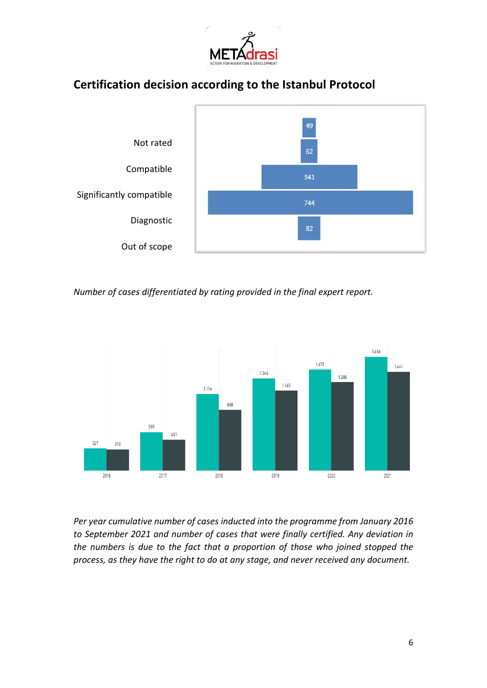

# **Certification decision according to the Istanbul Protocol**



*Number of cases differentiated by rating provided in the final expert report.*



*Per year cumulative number of cases inducted into the programme from January 2016 to September 2021 and number of cases that were finally certified. Any deviation in the numbers is due to the fact that a proportion of those who joined stopped the process, as they have the right to do at any stage, and never received any document.*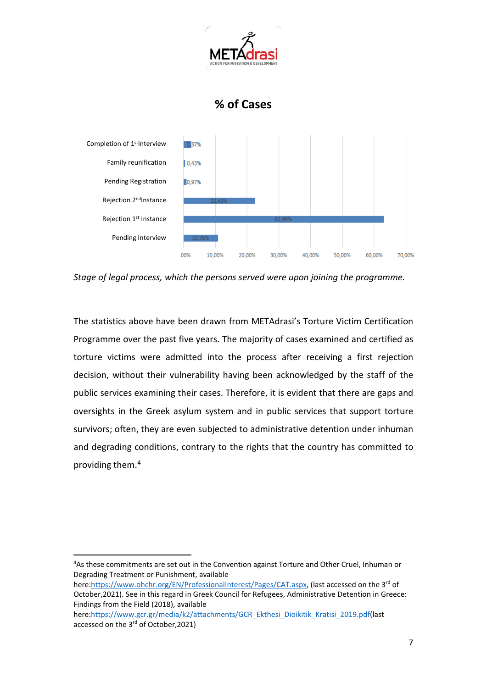

# **% of Cases**



*Stage of legal process, which the persons served were upon joining the programme.*

The statistics above have been drawn from METAdrasi's Torture Victim Certification Programme over the past five years. The majority of cases examined and certified as torture victims were admitted into the process after receiving a first rejection decision, without their vulnerability having been acknowledged by the staff of the public services examining their cases. Therefore, it is evident that there are gaps and oversights in the Greek asylum system and in public services that support torture survivors; often, they are even subjected to administrative detention under inhuman and degrading conditions, contrary to the rights that the country has committed to providing them.[4](#page-8-0)

<u>.</u>

<span id="page-8-0"></span><sup>4</sup> As these commitments are set out in the Convention against Torture and Other Cruel, Inhuman or Degrading Treatment or Punishment, available

here[:https://www.ohchr.org/EN/ProfessionalInterest/Pages/CAT.aspx,](https://www.ohchr.org/EN/ProfessionalInterest/Pages/CAT.aspx) (last accessed on the 3<sup>rd</sup> of October,2021). See in this regard in Greek Council for Refugees, Administrative Detention in Greece: Findings from the Field (2018), available

here[:https://www.gcr.gr/media/k2/attachments/GCR\\_Ekthesi\\_Dioikitik\\_Kratisi\\_2019.pdf\(](https://www.gcr.gr/media/k2/attachments/GCR_Ekthesi_Dioikitik_Kratisi_2019.pdf)last accessed on the 3<sup>rd</sup> of October, 2021)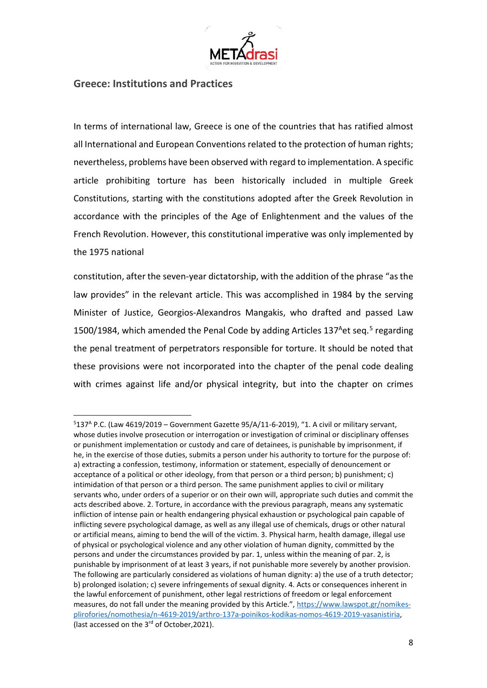

#### **Greece: Institutions and Practices**

 $\overline{a}$ 

In terms of international law, Greece is one of the countries that has ratified almost all International and European Conventions related to the protection of human rights; nevertheless, problems have been observed with regard to implementation. A specific article prohibiting torture has been historically included in multiple Greek Constitutions, starting with the constitutions adopted after the Greek Revolution in accordance with the principles of the Age of Enlightenment and the values of the French Revolution. However, this constitutional imperative was only implemented by the 1975 national

constitution, after the seven-year dictatorship, with the addition of the phrase "as the law provides" in the relevant article. This was accomplished in 1984 by the serving Minister of Justice, Georgios-Alexandros Mangakis, who drafted and passed Law 1[5](#page-9-0)00/1984, which amended the Penal Code by adding Articles 137<sup>A</sup>et seq.<sup>5</sup> regarding the penal treatment of perpetrators responsible for torture. It should be noted that these provisions were not incorporated into the chapter of the penal code dealing with crimes against life and/or physical integrity, but into the chapter on crimes

<span id="page-9-0"></span><sup>&</sup>lt;sup>5</sup>137<sup>A</sup> P.C. (Law 4619/2019 – Government Gazette 95/A/11-6-2019), "1. A civil or military servant, whose duties involve prosecution or interrogation or investigation of criminal or disciplinary offenses or punishment implementation or custody and care of detainees, is punishable by imprisonment, if he, in the exercise of those duties, submits a person under his authority to torture for the purpose of: a) extracting a confession, testimony, information or statement, especially of denouncement or acceptance of a political or other ideology, from that person or a third person; b) punishment; c) intimidation of that person or a third person. The same punishment applies to civil or military servants who, under orders of a superior or on their own will, appropriate such duties and commit the acts described above. 2. Torture, in accordance with the previous paragraph, means any systematic infliction of intense pain or health endangering physical exhaustion or psychological pain capable of inflicting severe psychological damage, as well as any illegal use of chemicals, drugs or other natural or artificial means, aiming to bend the will of the victim. 3. Physical harm, health damage, illegal use of physical or psychological violence and any other violation of human dignity, committed by the persons and under the circumstances provided by par. 1, unless within the meaning of par. 2, is punishable by imprisonment of at least 3 years, if not punishable more severely by another provision. The following are particularly considered as violations of human dignity: a) the use of a truth detector; b) prolonged isolation; c) severe infringements of sexual dignity. 4. Acts or consequences inherent in the lawful enforcement of punishment, other legal restrictions of freedom or legal enforcement measures, do not fall under the meaning provided by this Article.", [https://www.lawspot.gr/nomikes](https://www.lawspot.gr/nomikes-plirofories/nomothesia/n-4619-2019/arthro-137a-poinikos-kodikas-nomos-4619-2019-vasanistiria)[plirofories/nomothesia/n-4619-2019/arthro-137a-poinikos-kodikas-nomos-4619-2019-vasanistiria,](https://www.lawspot.gr/nomikes-plirofories/nomothesia/n-4619-2019/arthro-137a-poinikos-kodikas-nomos-4619-2019-vasanistiria) (last accessed on the 3<sup>rd</sup> of October, 2021).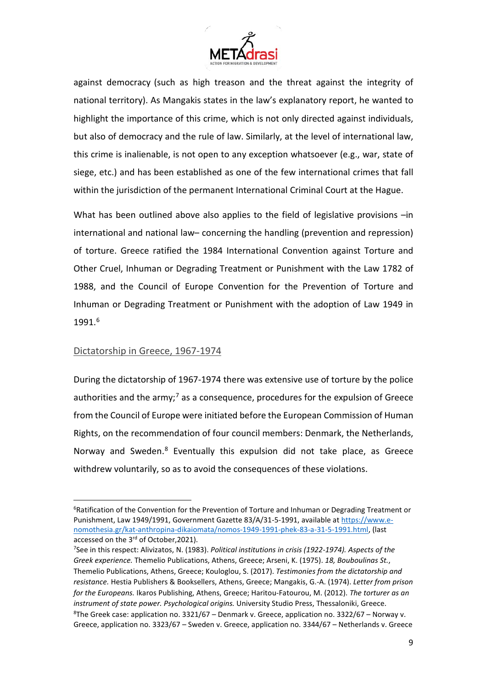

against democracy (such as high treason and the threat against the integrity of national territory). As Mangakis states in the law's explanatory report, he wanted to highlight the importance of this crime, which is not only directed against individuals, but also of democracy and the rule of law. Similarly, at the level of international law, this crime is inalienable, is not open to any exception whatsoever (e.g., war, state of siege, etc.) and has been established as one of the few international crimes that fall within the jurisdiction of the permanent International Criminal Court at the Hague.

What has been outlined above also applies to the field of legislative provisions –in international and national law– concerning the handling (prevention and repression) of torture. Greece ratified the 1984 International Convention against Torture and Other Cruel, Inhuman or Degrading Treatment or Punishment with the Law 1782 of 1988, and the Council of Europe Convention for the Prevention of Torture and Inhuman or Degrading Treatment or Punishment with the adoption of Law 1949 in 1991.[6](#page-10-0)

#### Dictatorship in Greece, 1967-1974

**.** 

During the dictatorship of 1967-1974 there was extensive use of torture by the police authorities and the army;<sup>[7](#page-10-1)</sup> as a consequence, procedures for the expulsion of Greece from the Council of Europe were initiated before the European Commission of Human Rights, on the recommendation of four council members: Denmark, the Netherlands, Norway and Sweden[.8](#page-10-2) Eventually this expulsion did not take place, as Greece withdrew voluntarily, so as to avoid the consequences of these violations.

<span id="page-10-0"></span><sup>&</sup>lt;sup>6</sup>Ratification of the Convention for the Prevention of Torture and Inhuman or Degrading Treatment or Punishment, Law 1949/1991, Government Gazette 83/A/31-5-1991, available a[t https://www.e](https://www.e-nomothesia.gr/kat-anthropina-dikaiomata/nomos-1949-1991-phek-83-a-31-5-1991.html)[nomothesia.gr/kat-anthropina-dikaiomata/nomos-1949-1991-phek-83-a-31-5-1991.html,](https://www.e-nomothesia.gr/kat-anthropina-dikaiomata/nomos-1949-1991-phek-83-a-31-5-1991.html) (last accessed on the 3<sup>rd</sup> of October, 2021).

<span id="page-10-2"></span><span id="page-10-1"></span><sup>7</sup> See in this respect: Alivizatos, N. (1983). *Political institutions in crisis (1922-1974). Aspects of the Greek experience.* Themelio Publications, Athens, Greece; Arseni, K. (1975). *18, Bouboulinas St.*, Themelio Publications, Athens, Greece; Kouloglou, S. (2017). *Testimonies from the dictatorship and resistance.* Hestia Publishers & Booksellers, Athens, Greece; Mangakis, G.-Α. (1974). *Letter from prison for the Europeans.* Ikaros Publishing, Athens, Greece; Haritou-Fatourou, M. (2012). *The torturer as an instrument of state power. Psychological origins.* University Studio Press, Thessaloniki, Greece. 8 The Greek case: application no. 3321/67 – Denmark v. Greece, application no. 3322/67 – Norway v. Greece, application no. 3323/67 – Sweden v. Greece, application no. 3344/67 – Netherlands v. Greece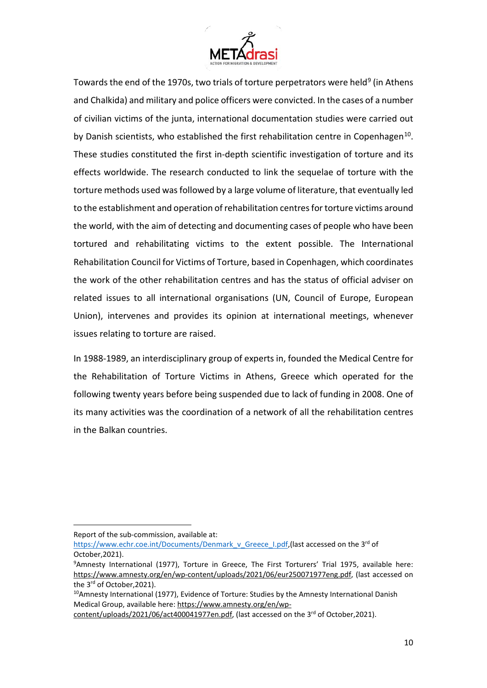

Towards the end of the 1[9](#page-11-0)70s, two trials of torture perpetrators were held<sup>9</sup> (in Athens and Chalkida) and military and police officers were convicted. In the cases of a number of civilian victims of the junta, international documentation studies were carried out by Danish scientists, who established the first rehabilitation centre in Copenhagen<sup>[10](#page-11-1)</sup>. These studies constituted the first in-depth scientific investigation of torture and its effects worldwide. The research conducted to link the sequelae of torture with the torture methods used was followed by a large volume of literature, that eventually led to the establishment and operation of rehabilitation centres for torture victims around the world, with the aim of detecting and documenting cases of people who have been tortured and rehabilitating victims to the extent possible. The International Rehabilitation Council for Victims of Torture, based in Copenhagen, which coordinates the work of the other rehabilitation centres and has the status of official adviser on related issues to all international organisations (UN, Council of Europe, European Union), intervenes and provides its opinion at international meetings, whenever issues relating to torture are raised.

In 1988-1989, an interdisciplinary group of experts in, founded the Medical Centre for the Rehabilitation of Torture Victims in Athens, Greece which operated for the following twenty years before being suspended due to lack of funding in 2008. One of its many activities was the coordination of a network of all the rehabilitation centres in the Balkan countries.

 $\overline{a}$ 

Report of the sub-commission, available at:

[https://www.echr.coe.int/Documents/Denmark\\_v\\_Greece\\_I.pdf,](https://www.echr.coe.int/Documents/Denmark_v_Greece_I.pdf)(last accessed on the 3<sup>rd</sup> of October,2021).

<span id="page-11-0"></span><sup>9</sup> Amnesty International (1977), Torture in Greece, The First Torturers' Trial 1975, available here: [https://www.amnesty.org/en/wp-content/uploads/2021/06/eur250071977eng.pdf,](https://www.amnesty.org/en/wp-content/uploads/2021/06/eur250071977eng.pdf) (last accessed on the 3<sup>rd</sup> of October, 2021).

<span id="page-11-1"></span><sup>&</sup>lt;sup>10</sup>Amnesty International (1977), Evidence of Torture: Studies by the Amnesty International Danish Medical Group, available here: [https://www.amnesty.org/en/wp-](https://www.amnesty.org/en/wp-content/uploads/2021/06/act400041977en.pdf)

[content/uploads/2021/06/act400041977en.pdf,](https://www.amnesty.org/en/wp-content/uploads/2021/06/act400041977en.pdf) (last accessed on the 3rd of October,2021).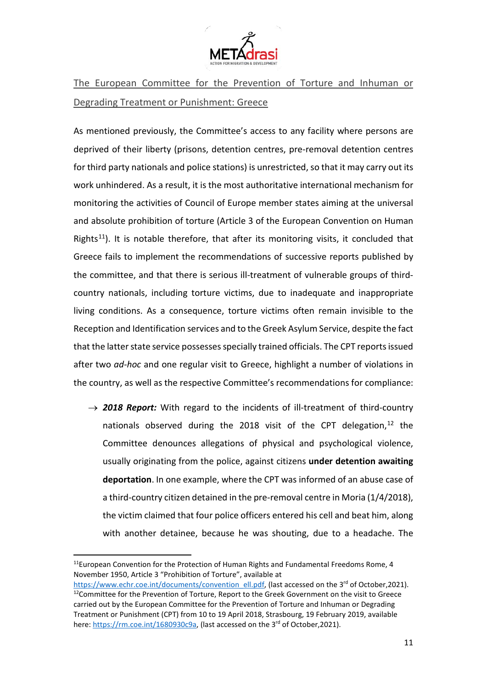

The European Committee for the Prevention of Torture and Inhuman or Degrading Treatment or Punishment: Greece

As mentioned previously, the Committee's access to any facility where persons are deprived of their liberty (prisons, detention centres, pre-removal detention centres for third party nationals and police stations) is unrestricted, so that it may carry out its work unhindered. As a result, it is the most authoritative international mechanism for monitoring the activities of Council of Europe member states aiming at the universal and absolute prohibition of torture (Article 3 of the European Convention on Human Rights<sup>11</sup>). It is notable therefore, that after its monitoring visits, it concluded that Greece fails to implement the recommendations of successive reports published by the committee, and that there is serious ill-treatment of vulnerable groups of thirdcountry nationals, including torture victims, due to inadequate and inappropriate living conditions. As a consequence, torture victims often remain invisible to the Reception and Identification services and to the Greek Asylum Service, despite the fact that the latter state service possesses specially trained officials. The CPT reportsissued after two *ad-hoc* and one regular visit to Greece, highlight a number of violations in the country, as well as the respective Committee's recommendations for compliance:

 $\rightarrow$  2018 Report: With regard to the incidents of ill-treatment of third-country nationals observed during the 2018 visit of the CPT delegation, $12$  the Committee denounces allegations of physical and psychological violence, usually originating from the police, against citizens **under detention awaiting deportation**. In one example, where the CPT was informed of an abuse case of a third-country citizen detained in the pre-removal centre in Moria (1/4/2018), the victim claimed that four police officers entered his cell and beat him, along with another detainee, because he was shouting, due to a headache. The

<u>.</u>

<span id="page-12-0"></span> $11$ European Convention for the Protection of Human Rights and Fundamental Freedoms Rome, 4 November 1950, Article 3 "Prohibition of Torture", available at

<span id="page-12-1"></span>[https://www.echr.coe.int/documents/convention\\_ell.pdf,](https://www.echr.coe.int/documents/convention_ell.pdf) (last accessed on the 3rd of October,2021). <sup>12</sup>Committee for the Prevention of Torture, Report to the Greek Government on the visit to Greece carried out by the European Committee for the Prevention of Torture and Inhuman or Degrading Treatment or Punishment (CPT) from 10 to 19 April 2018, Strasbourg, 19 February 2019, available here: https://rm.coe.int/1680930c9a. (last accessed on the 3<sup>rd</sup> of October.2021).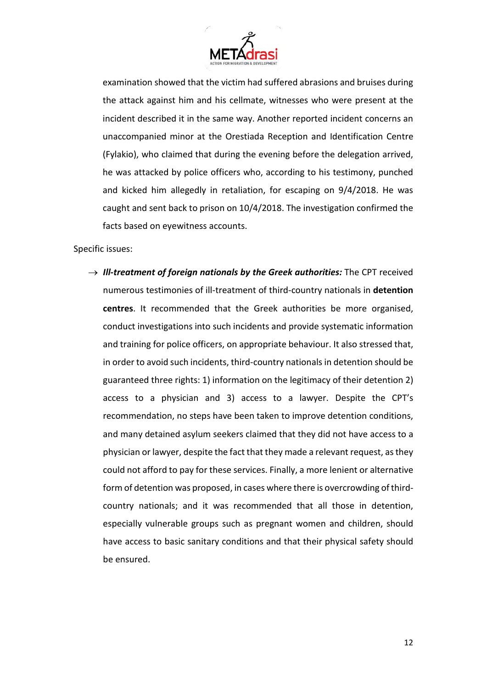

examination showed that the victim had suffered abrasions and bruises during the attack against him and his cellmate, witnesses who were present at the incident described it in the same way. Another reported incident concerns an unaccompanied minor at the Orestiada Reception and Identification Centre (Fylakio), who claimed that during the evening before the delegation arrived, he was attacked by police officers who, according to his testimony, punched and kicked him allegedly in retaliation, for escaping on 9/4/2018. He was caught and sent back to prison on 10/4/2018. The investigation confirmed the facts based on eyewitness accounts.

Specific issues:

 $\rightarrow$  *III-treatment of foreign nationals by the Greek authorities:* The CPT received numerous testimonies of ill-treatment of third-country nationals in **detention centres**. It recommended that the Greek authorities be more organised, conduct investigations into such incidents and provide systematic information and training for police officers, on appropriate behaviour. It also stressed that, in order to avoid such incidents, third-country nationals in detention should be guaranteed three rights: 1) information on the legitimacy of their detention 2) access to a physician and 3) access to a lawyer. Despite the CPT's recommendation, no steps have been taken to improve detention conditions, and many detained asylum seekers claimed that they did not have access to a physician or lawyer, despite the fact that they made a relevant request, as they could not afford to pay for these services. Finally, a more lenient or alternative form of detention was proposed, in cases where there is overcrowding of thirdcountry nationals; and it was recommended that all those in detention, especially vulnerable groups such as pregnant women and children, should have access to basic sanitary conditions and that their physical safety should be ensured.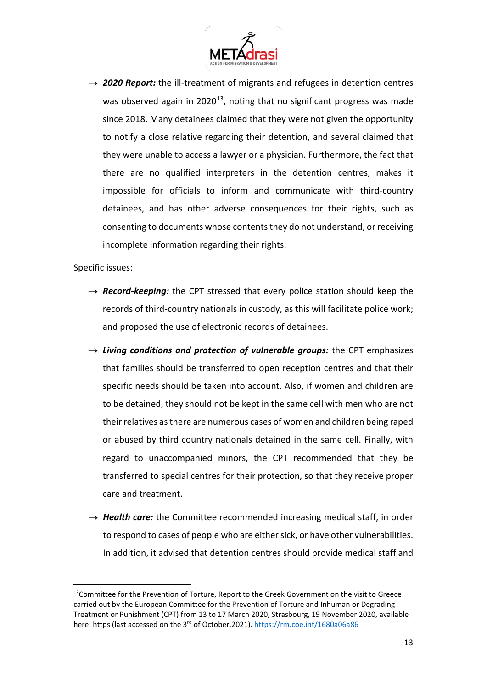

 $\rightarrow$  2020 Report: the ill-treatment of migrants and refugees in detention centres was observed again in 2020<sup>[13](#page-14-0)</sup>, noting that no significant progress was made since 2018. Many detainees claimed that they were not given the opportunity to notify a close relative regarding their detention, and several claimed that they were unable to access a lawyer or a physician. Furthermore, the fact that there are no qualified interpreters in the detention centres, makes it impossible for officials to inform and communicate with third-country detainees, and has other adverse consequences for their rights, such as consenting to documents whose contents they do not understand, or receiving incomplete information regarding their rights.

Specific issues:

**.** 

- $\rightarrow$  *Record-keeping:* the CPT stressed that every police station should keep the records of third-country nationals in custody, as this will facilitate police work; and proposed the use of electronic records of detainees.
- → *Living conditions and protection of vulnerable groups:* the CPT emphasizes that families should be transferred to open reception centres and that their specific needs should be taken into account. Also, if women and children are to be detained, they should not be kept in the same cell with men who are not their relatives as there are numerous cases of women and children being raped or abused by third country nationals detained in the same cell. Finally, with regard to unaccompanied minors, the CPT recommended that they be transferred to special centres for their protection, so that they receive proper care and treatment.
- $\rightarrow$  **Health care:** the Committee recommended increasing medical staff, in order to respond to cases of people who are either sick, or have other vulnerabilities. In addition, it advised that detention centres should provide medical staff and

<span id="page-14-0"></span><sup>&</sup>lt;sup>13</sup>Committee for the Prevention of Torture, Report to the Greek Government on the visit to Greece carried out by the European Committee for the Prevention of Torture and Inhuman or Degrading Treatment or Punishment (CPT) from 13 to 17 March 2020, Strasbourg, 19 November 2020, available here: https (last accessed on the 3rd of October,2021). https://rm.coe.int/1680a06a86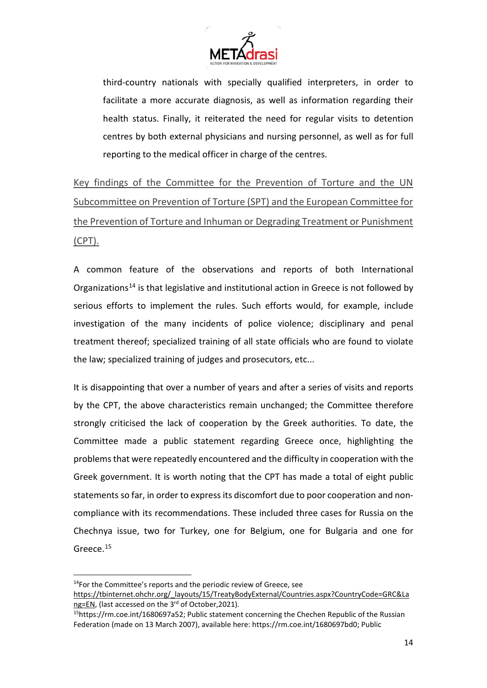

third-country nationals with specially qualified interpreters, in order to facilitate a more accurate diagnosis, as well as information regarding their health status. Finally, it reiterated the need for regular visits to detention centres by both external physicians and nursing personnel, as well as for full reporting to the medical officer in charge of the centres.

Key findings of the Committee for the Prevention of Torture and the UN Subcommittee on Prevention of Torture (SPT) and the European Committee for the Prevention of Torture and Inhuman or Degrading Treatment or Punishment (CPT).

A common feature of the observations and reports of both International Organizations[14](#page-15-0) is that legislative and institutional action in Greece is not followed by serious efforts to implement the rules. Such efforts would, for example, include investigation of the many incidents of police violence; disciplinary and penal treatment thereof; specialized training of all state officials who are found to violate the law; specialized training of judges and prosecutors, etc...

It is disappointing that over a number of years and after a series of visits and reports by the CPT, the above characteristics remain unchanged; the Committee therefore strongly criticised the lack of cooperation by the Greek authorities. To date, the Committee made a public statement regarding Greece once, highlighting the problems that were repeatedly encountered and the difficulty in cooperation with the Greek government. It is worth noting that the CPT has made a total of eight public statements so far, in order to express its discomfort due to poor cooperation and noncompliance with its recommendations. These included three cases for Russia on the Chechnya issue, two for Turkey, one for Belgium, one for Bulgaria and one for Greece.<sup>[15](#page-15-1)</sup>

<u>.</u>

<span id="page-15-0"></span><sup>&</sup>lt;sup>14</sup>For the Committee's reports and the periodic review of Greece, see

[https://tbinternet.ohchr.org/\\_layouts/15/TreatyBodyExternal/Countries.aspx?CountryCode=GRC&La](https://tbinternet.ohchr.org/_layouts/15/TreatyBodyExternal/Countries.aspx?CountryCode=GRC&Lang=EN) [ng=EN,](https://tbinternet.ohchr.org/_layouts/15/TreatyBodyExternal/Countries.aspx?CountryCode=GRC&Lang=EN) (last accessed on the 3<sup>rd</sup> of October, 2021).

<span id="page-15-1"></span><sup>15</sup>https://rm.coe.int/1680697a52; Public statement concerning the Chechen Republic of the Russian Federation (made on 13 March 2007), available here: https://rm.coe.int/1680697bd0; Public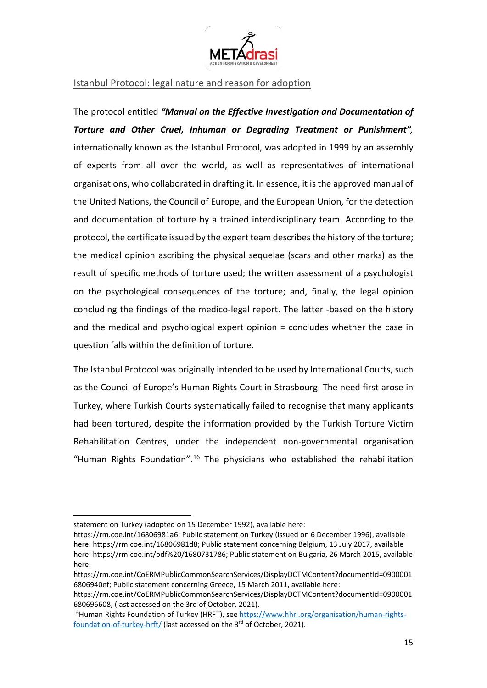

Istanbul Protocol: legal nature and reason for adoption

The protocol entitled *"Manual on the Effective Investigation and Documentation of Torture and Other Cruel, Inhuman or Degrading Treatment or Punishment",* internationally known as the Istanbul Protocol, was adopted in 1999 by an assembly of experts from all over the world, as well as representatives of international organisations, who collaborated in drafting it. In essence, it is the approved manual of the United Nations, the Council of Europe, and the European Union, for the detection and documentation of torture by a trained interdisciplinary team. According to the protocol, the certificate issued by the expert team describes the history of the torture; the medical opinion ascribing the physical sequelae (scars and other marks) as the result of specific methods of torture used; the written assessment of a psychologist on the psychological consequences of the torture; and, finally, the legal opinion concluding the findings of the medico-legal report. The latter -based on the history and the medical and psychological expert opinion = concludes whether the case in question falls within the definition of torture.

The Istanbul Protocol was originally intended to be used by International Courts, such as the Council of Europe's Human Rights Court in Strasbourg. The need first arose in Turkey, where Turkish Courts systematically failed to recognise that many applicants had been tortured, despite the information provided by the Turkish Torture Victim Rehabilitation Centres, under the independent non-governmental organisation "Human Rights Foundation".<sup>[16](#page-16-0)</sup> The physicians who established the rehabilitation

**.** 

statement on Turkey (adopted on 15 December 1992), available here:

https://rm.coe.int/16806981a6; Public statement on Turkey (issued on 6 December 1996), available here: https://rm.coe.int/16806981d8; Public statement concerning Belgium, 13 July 2017, available here: https://rm.coe.int/pdf%20/1680731786; Public statement on Bulgaria, 26 March 2015, available here:

https://rm.coe.int/CoERMPublicCommonSearchServices/DisplayDCTMContent?documentId=0900001 6806940ef; Public statement concerning Greece, 15 March 2011, available here:

https://rm.coe.int/CoERMPublicCommonSearchServices/DisplayDCTMContent?documentId=0900001 680696608, (last accessed on the 3rd of October, 2021).

<span id="page-16-0"></span><sup>&</sup>lt;sup>16</sup>Human Rights Foundation of Turkey (HRFT), see [https://www.hhri.org/organisation/human-rights](https://www.hhri.org/organisation/human-rights-foundation-of-turkey-hrft/)[foundation-of-turkey-hrft/](https://www.hhri.org/organisation/human-rights-foundation-of-turkey-hrft/) (last accessed on the 3<sup>rd</sup> of October, 2021).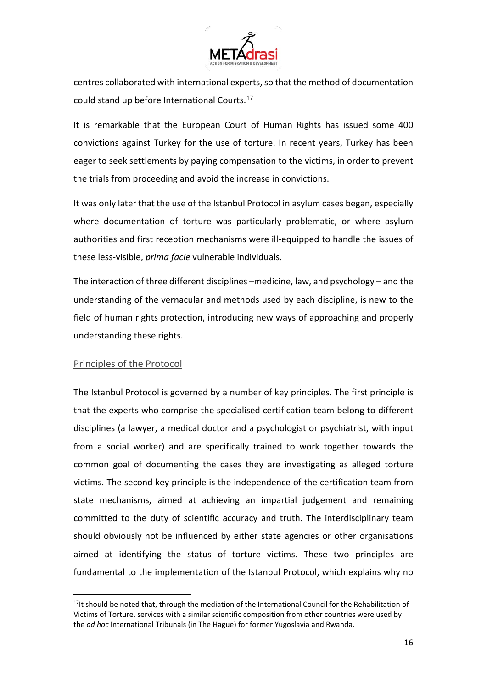

centres collaborated with international experts, so that the method of documentation could stand up before International Courts.[17](#page-17-0)

It is remarkable that the European Court of Human Rights has issued some 400 convictions against Turkey for the use of torture. In recent years, Turkey has been eager to seek settlements by paying compensation to the victims, in order to prevent the trials from proceeding and avoid the increase in convictions.

It was only later that the use of the Istanbul Protocol in asylum cases began, especially where documentation of torture was particularly problematic, or where asylum authorities and first reception mechanisms were ill-equipped to handle the issues of these less-visible, *prima facie* vulnerable individuals.

The interaction of three different disciplines –medicine, law, and psychology – and the understanding of the vernacular and methods used by each discipline, is new to the field of human rights protection, introducing new ways of approaching and properly understanding these rights.

#### Principles of the Protocol

 $\overline{a}$ 

The Istanbul Protocol is governed by a number of key principles. The first principle is that the experts who comprise the specialised certification team belong to different disciplines (a lawyer, a medical doctor and a psychologist or psychiatrist, with input from a social worker) and are specifically trained to work together towards the common goal of documenting the cases they are investigating as alleged torture victims. The second key principle is the independence of the certification team from state mechanisms, aimed at achieving an impartial judgement and remaining committed to the duty of scientific accuracy and truth. The interdisciplinary team should obviously not be influenced by either state agencies or other organisations aimed at identifying the status of torture victims. These two principles are fundamental to the implementation of the Istanbul Protocol, which explains why no

<span id="page-17-0"></span> $17$ It should be noted that, through the mediation of the International Council for the Rehabilitation of Victims of Torture, services with a similar scientific composition from other countries were used by the *ad hoc* International Tribunals (in The Hague) for former Yugoslavia and Rwanda.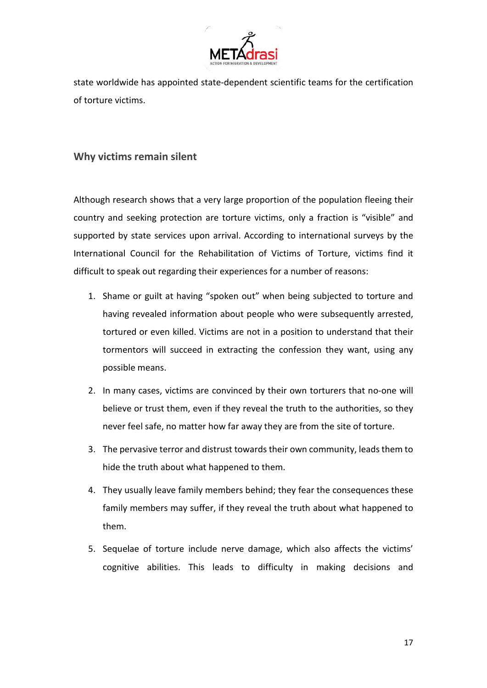

state worldwide has appointed state-dependent scientific teams for the certification of torture victims.

# **Why victims remain silent**

Although research shows that a very large proportion of the population fleeing their country and seeking protection are torture victims, only a fraction is "visible" and supported by state services upon arrival. According to international surveys by the International Council for the Rehabilitation of Victims of Torture, victims find it difficult to speak out regarding their experiences for a number of reasons:

- 1. Shame or guilt at having "spoken out" when being subjected to torture and having revealed information about people who were subsequently arrested, tortured or even killed. Victims are not in a position to understand that their tormentors will succeed in extracting the confession they want, using any possible means.
- 2. In many cases, victims are convinced by their own torturers that no-one will believe or trust them, even if they reveal the truth to the authorities, so they never feel safe, no matter how far away they are from the site of torture.
- 3. The pervasive terror and distrust towards their own community, leads them to hide the truth about what happened to them.
- 4. They usually leave family members behind; they fear the consequences these family members may suffer, if they reveal the truth about what happened to them.
- 5. Sequelae of torture include nerve damage, which also affects the victims' cognitive abilities. This leads to difficulty in making decisions and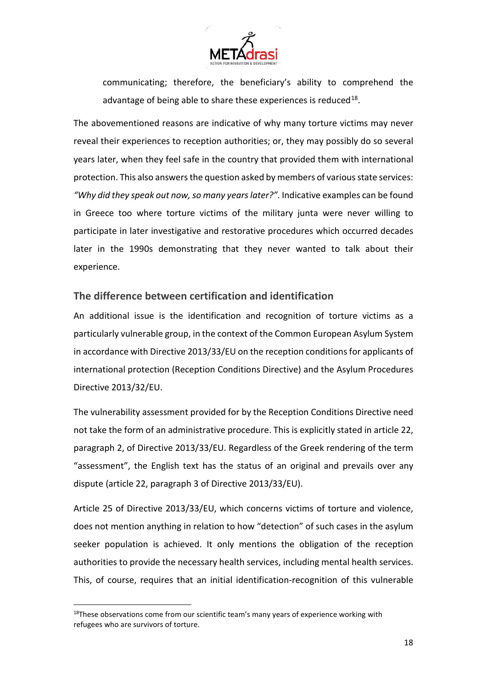

communicating; therefore, the beneficiary's ability to comprehend the advantage of being able to share these experiences is reduced $^{18}$ .

The abovementioned reasons are indicative of why many torture victims may never reveal their experiences to reception authorities; or, they may possibly do so several years later, when they feel safe in the country that provided them with international protection. This also answers the question asked by members of various state services: *"Why did they speak out now, so many years later?"*. Indicative examples can be found in Greece too where torture victims of the military junta were never willing to participate in later investigative and restorative procedures which occurred decades later in the 1990s demonstrating that they never wanted to talk about their experience.

## **The difference between certification and identification**

An additional issue is the identification and recognition of torture victims as a particularly vulnerable group, in the context of the Common European Asylum System in accordance with Directive 2013/33/EU on the reception conditions for applicants of international protection (Reception Conditions Directive) and the Asylum Procedures Directive 2013/32/EU.

The vulnerability assessment provided for by the Reception Conditions Directive need not take the form of an administrative procedure. This is explicitly stated in article 22, paragraph 2, of Directive 2013/33/EU. Regardless of the Greek rendering of the term "assessment", the English text has the status of an original and prevails over any dispute (article 22, paragraph 3 of Directive 2013/33/EU).

Article 25 of Directive 2013/33/EU, which concerns victims of torture and violence, does not mention anything in relation to how "detection" of such cases in the asylum seeker population is achieved. It only mentions the obligation of the reception authorities to provide the necessary health services, including mental health services. This, of course, requires that an initial identification-recognition of this vulnerable

**.** 

<span id="page-19-0"></span> $18$ These observations come from our scientific team's many years of experience working with refugees who are survivors of torture.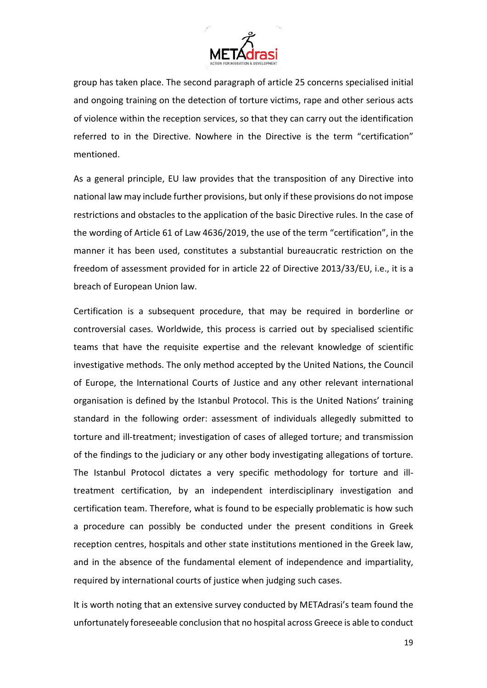

group has taken place. The second paragraph of article 25 concerns specialised initial and ongoing training on the detection of torture victims, rape and other serious acts of violence within the reception services, so that they can carry out the identification referred to in the Directive. Nowhere in the Directive is the term "certification" mentioned.

As a general principle, EU law provides that the transposition of any Directive into national law may include further provisions, but only if these provisions do not impose restrictions and obstacles to the application of the basic Directive rules. In the case of the wording of Article 61 of Law 4636/2019, the use of the term "certification", in the manner it has been used, constitutes a substantial bureaucratic restriction on the freedom of assessment provided for in article 22 of Directive 2013/33/EU, i.e., it is a breach of European Union law.

Certification is a subsequent procedure, that may be required in borderline or controversial cases. Worldwide, this process is carried out by specialised scientific teams that have the requisite expertise and the relevant knowledge of scientific investigative methods. The only method accepted by the United Nations, the Council of Europe, the International Courts of Justice and any other relevant international organisation is defined by the Istanbul Protocol. This is the United Nations' training standard in the following order: assessment of individuals allegedly submitted to torture and ill-treatment; investigation of cases of alleged torture; and transmission of the findings to the judiciary or any other body investigating allegations of torture. The Istanbul Protocol dictates a very specific methodology for torture and illtreatment certification, by an independent interdisciplinary investigation and certification team. Therefore, what is found to be especially problematic is how such a procedure can possibly be conducted under the present conditions in Greek reception centres, hospitals and other state institutions mentioned in the Greek law, and in the absence of the fundamental element of independence and impartiality, required by international courts of justice when judging such cases.

It is worth noting that an extensive survey conducted by METAdrasi's team found the unfortunately foreseeable conclusion that no hospital across Greece is able to conduct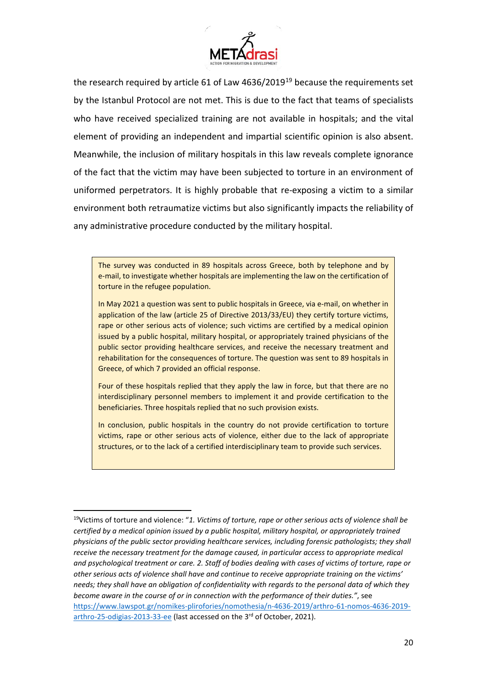

the research required by article 61 of Law 4636/20[19](#page-21-0)<sup>19</sup> because the requirements set by the Istanbul Protocol are not met. This is due to the fact that teams of specialists who have received specialized training are not available in hospitals; and the vital element of providing an independent and impartial scientific opinion is also absent. Meanwhile, the inclusion of military hospitals in this law reveals complete ignorance of the fact that the victim may have been subjected to torture in an environment of uniformed perpetrators. It is highly probable that re-exposing a victim to a similar environment both retraumatize victims but also significantly impacts the reliability of any administrative procedure conducted by the military hospital.

The survey was conducted in 89 hospitals across Greece, both by telephone and by e-mail, to investigate whether hospitals are implementing the law on the certification of torture in the refugee population.

In May 2021 a question was sent to public hospitals in Greece, via e-mail, on whether in application of the law (article 25 of Directive 2013/33/EU) they certify torture victims, rape or other serious acts of violence; such victims are certified by a medical opinion issued by a public hospital, military hospital, or appropriately trained physicians of the public sector providing healthcare services, and receive the necessary treatment and rehabilitation for the consequences of torture. The question was sent to 89 hospitals in Greece, of which 7 provided an official response.

Four of these hospitals replied that they apply the law in force, but that there are no interdisciplinary personnel members to implement it and provide certification to the beneficiaries. Three hospitals replied that no such provision exists.

In conclusion, public hospitals in the country do not provide certification to torture victims, rape or other serious acts of violence, either due to the lack of appropriate structures, or to the lack of a certified interdisciplinary team to provide such services.

<u>.</u>

<span id="page-21-0"></span><sup>19</sup>Victims of torture and violence: "*1. Victims of torture, rape or other serious acts of violence shall be certified by a medical opinion issued by a public hospital, military hospital, or appropriately trained physicians of the public sector providing healthcare services, including forensic pathologists; they shall receive the necessary treatment for the damage caused, in particular access to appropriate medical and psychological treatment or care. 2. Staff of bodies dealing with cases of victims of torture, rape or other serious acts of violence shall have and continue to receive appropriate training on the victims' needs; they shall have an obligation of confidentiality with regards to the personal data of which they become aware in the course of or in connection with the performance of their duties."*, see [https://www.lawspot.gr/nomikes-plirofories/nomothesia/n-4636-2019/arthro-61-nomos-4636-2019](https://www.lawspot.gr/nomikes-plirofories/nomothesia/n-4636-2019/arthro-61-nomos-4636-2019-arthro-25-odigias-2013-33-ee) [arthro-25-odigias-2013-33-ee](https://www.lawspot.gr/nomikes-plirofories/nomothesia/n-4636-2019/arthro-61-nomos-4636-2019-arthro-25-odigias-2013-33-ee) (last accessed on the 3<sup>rd</sup> of October, 2021).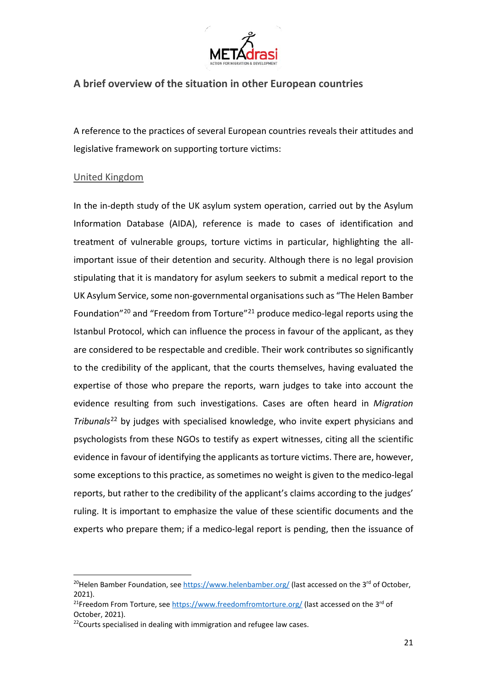

# **A brief overview of the situation in other European countries**

A reference to the practices of several European countries reveals their attitudes and legislative framework on supporting torture victims:

#### United Kingdom

<u>.</u>

In the in-depth study of the UK asylum system operation, carried out by the Asylum Information Database (AIDA), reference is made to cases of identification and treatment of vulnerable groups, torture victims in particular, highlighting the allimportant issue of their detention and security. Although there is no legal provision stipulating that it is mandatory for asylum seekers to submit a medical report to the UK Asylum Service, some non-governmental organisations such as "The Helen Bamber Foundation["20](#page-22-0) and "Freedom from Torture"[21](#page-22-1) produce medico-legal reports using the Istanbul Protocol, which can influence the process in favour of the applicant, as they are considered to be respectable and credible. Their work contributes so significantly to the credibility of the applicant, that the courts themselves, having evaluated the expertise of those who prepare the reports, warn judges to take into account the evidence resulting from such investigations. Cases are often heard in *Migration Tribunals*[22](#page-22-2) by judges with specialised knowledge, who invite expert physicians and psychologists from these NGOs to testify as expert witnesses, citing all the scientific evidence in favour of identifying the applicants as torture victims. There are, however, some exceptions to this practice, as sometimes no weight is given to the medico-legal reports, but rather to the credibility of the applicant's claims according to the judges' ruling. It is important to emphasize the value of these scientific documents and the experts who prepare them; if a medico-legal report is pending, then the issuance of

<span id="page-22-0"></span><sup>&</sup>lt;sup>20</sup>Helen Bamber Foundation, see<https://www.helenbamber.org/> (last accessed on the 3<sup>rd</sup> of October, 2021).

<span id="page-22-1"></span><sup>&</sup>lt;sup>21</sup>Freedom From Torture, se[e https://www.freedomfromtorture.org/](https://www.freedomfromtorture.org/) (last accessed on the 3<sup>rd</sup> of October, 2021).

<span id="page-22-2"></span> $22$ Courts specialised in dealing with immigration and refugee law cases.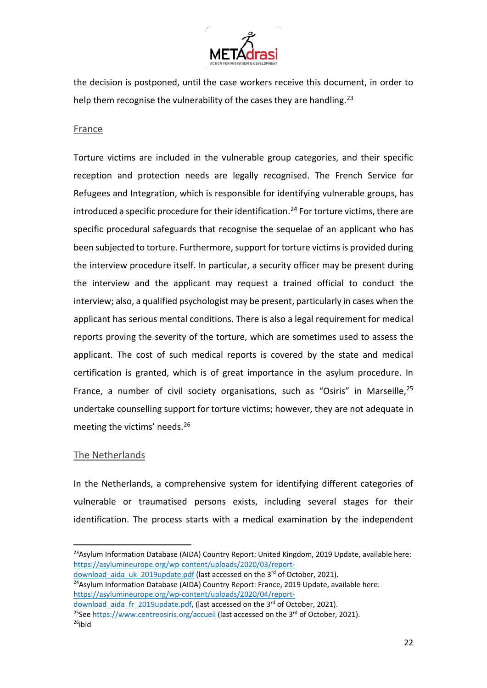

the decision is postponed, until the case workers receive this document, in order to help them recognise the vulnerability of the cases they are handling.<sup>[23](#page-23-0)</sup>

#### **France**

Torture victims are included in the vulnerable group categories, and their specific reception and protection needs are legally recognised. The French Service for Refugees and Integration, which is responsible for identifying vulnerable groups, has introduced a specific procedure for their identification.<sup>[24](#page-23-1)</sup> For torture victims, there are specific procedural safeguards that recognise the sequelae of an applicant who has been subjected to torture. Furthermore, support for torture victims is provided during the interview procedure itself. In particular, a security officer may be present during the interview and the applicant may request a trained official to conduct the interview; also, a qualified psychologist may be present, particularly in cases when the applicant has serious mental conditions. There is also a legal requirement for medical reports proving the severity of the torture, which are sometimes used to assess the applicant. The cost of such medical reports is covered by the state and medical certification is granted, which is of great importance in the asylum procedure. In France, a number of civil society organisations, such as "Osiris" in Marseille,  $25$ undertake counselling support for torture victims; however, they are not adequate in meeting the victims' needs.[26](#page-23-3)

#### The Netherlands

 $\overline{a}$ 

In the Netherlands, a comprehensive system for identifying different categories of vulnerable or traumatised persons exists, including several stages for their identification. The process starts with a medical examination by the independent

<span id="page-23-1"></span>download aida uk 2019update.pdf (last accessed on the 3rd of October, 2021).  $24$ Asylum Information Database (AIDA) Country Report: France, 2019 Update, available here: [https://asylumineurope.org/wp-content/uploads/2020/04/report-](https://asylumineurope.org/wp-content/uploads/2020/04/report-download_aida_fr_2019update.pdf)

<span id="page-23-0"></span><sup>&</sup>lt;sup>23</sup>Asylum Information Database (AIDA) Country Report: United Kingdom, 2019 Update, available here: [https://asylumineurope.org/wp-content/uploads/2020/03/report-](https://asylumineurope.org/wp-content/uploads/2020/03/report-download_aida_uk_2019update.pdf)

<span id="page-23-3"></span><span id="page-23-2"></span>download aida fr\_2019update.pdf, (last accessed on the 3<sup>rd</sup> of October, 2021).  $25$ See<https://www.centreosiris.org/accueil> (last accessed on the 3<sup>rd</sup> of October, 2021).  $26$ ibid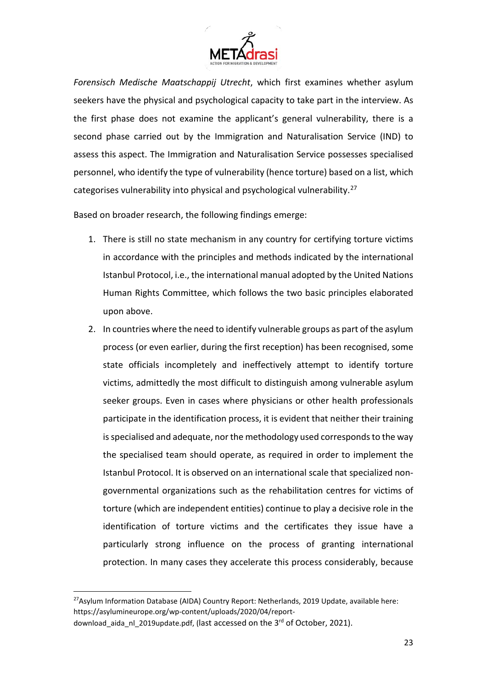

*Forensisch Medische Maatschappij Utrecht*, which first examines whether asylum seekers have the physical and psychological capacity to take part in the interview. As the first phase does not examine the applicant's general vulnerability, there is a second phase carried out by the Immigration and Naturalisation Service (IND) to assess this aspect. The Immigration and Naturalisation Service possesses specialised personnel, who identify the type of vulnerability (hence torture) based on a list, which categorises vulnerability into physical and psychological vulnerability.[27](#page-24-0)

Based on broader research, the following findings emerge:

- 1. There is still no state mechanism in any country for certifying torture victims in accordance with the principles and methods indicated by the international Istanbul Protocol, i.e., the international manual adopted by the United Nations Human Rights Committee, which follows the two basic principles elaborated upon above.
- 2. In countries where the need to identify vulnerable groups as part of the asylum process (or even earlier, during the first reception) has been recognised, some state officials incompletely and ineffectively attempt to identify torture victims, admittedly the most difficult to distinguish among vulnerable asylum seeker groups. Even in cases where physicians or other health professionals participate in the identification process, it is evident that neither their training is specialised and adequate, nor the methodology used corresponds to the way the specialised team should operate, as required in order to implement the Istanbul Protocol. It is observed on an international scale that specialized nongovernmental organizations such as the rehabilitation centres for victims of torture (which are independent entities) continue to play a decisive role in the identification of torture victims and the certificates they issue have a particularly strong influence on the process of granting international protection. In many cases they accelerate this process considerably, because

<span id="page-24-0"></span><sup>&</sup>lt;u>.</u> <sup>27</sup>Asylum Information Database (AIDA) Country Report: Netherlands, 2019 Update, available here: https://asylumineurope.org/wp-content/uploads/2020/04/report-

download aida nl 2019update.pdf, (last accessed on the 3<sup>rd</sup> of October, 2021).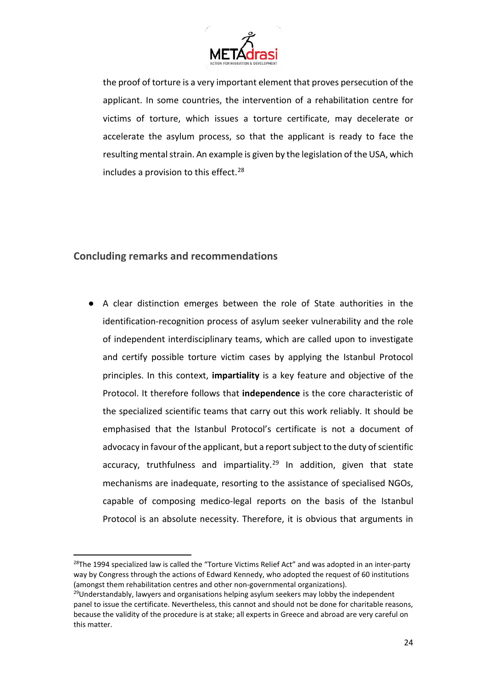

the proof of torture is a very important element that proves persecution of the applicant. In some countries, the intervention of a rehabilitation centre for victims of torture, which issues a torture certificate, may decelerate or accelerate the asylum process, so that the applicant is ready to face the resulting mental strain. An example is given by the legislation of the USA, which includes a provision to this effect.<sup>[28](#page-25-0)</sup>

# **Concluding remarks and recommendations**

<u>.</u>

● A clear distinction emerges between the role of State authorities in the identification-recognition process of asylum seeker vulnerability and the role of independent interdisciplinary teams, which are called upon to investigate and certify possible torture victim cases by applying the Istanbul Protocol principles. In this context, **impartiality** is a key feature and objective of the Protocol. It therefore follows that **independence** is the core characteristic of the specialized scientific teams that carry out this work reliably. It should be emphasised that the Istanbul Protocol's certificate is not a document of advocacy in favour of the applicant, but a report subject to the duty of scientific accuracy, truthfulness and impartiality.<sup>[29](#page-25-1)</sup> In addition, given that state mechanisms are inadequate, resorting to the assistance of specialised NGOs, capable of composing medico-legal reports on the basis of the Istanbul Protocol is an absolute necessity. Therefore, it is obvious that arguments in

<span id="page-25-0"></span> $28$ The 1994 specialized law is called the "Torture Victims Relief Act" and was adopted in an inter-party way by Congress through the actions of Edward Kennedy, who adopted the request of 60 institutions (amongst them rehabilitation centres and other non-governmental organizations).

<span id="page-25-1"></span> $29$ Understandably, lawyers and organisations helping asylum seekers may lobby the independent panel to issue the certificate. Nevertheless, this cannot and should not be done for charitable reasons, because the validity of the procedure is at stake; all experts in Greece and abroad are very careful on this matter.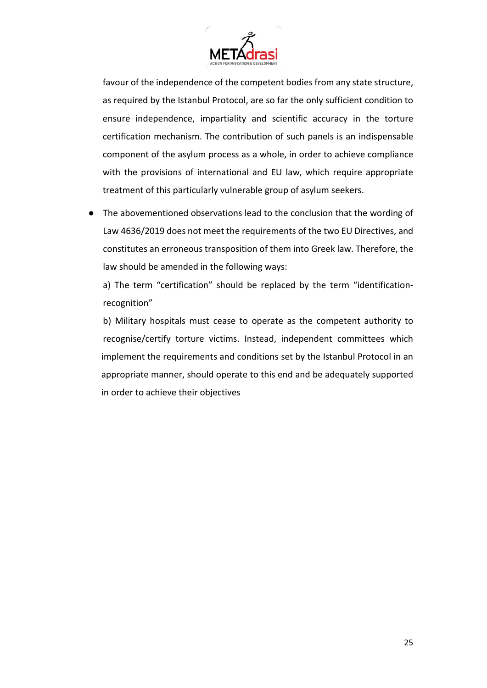

favour of the independence of the competent bodies from any state structure, as required by the Istanbul Protocol, are so far the only sufficient condition to ensure independence, impartiality and scientific accuracy in the torture certification mechanism. The contribution of such panels is an indispensable component of the asylum process as a whole, in order to achieve compliance with the provisions of international and EU law, which require appropriate treatment of this particularly vulnerable group of asylum seekers.

The abovementioned observations lead to the conclusion that the wording of Law 4636/2019 does not meet the requirements of the two EU Directives, and constitutes an erroneous transposition of them into Greek law. Therefore, the law should be amended in the following ways:

a) The term "certification" should be replaced by the term "identificationrecognition"

b) Military hospitals must cease to operate as the competent authority to recognise/certify torture victims. Instead, independent committees which implement the requirements and conditions set by the Istanbul Protocol in an appropriate manner, should operate to this end and be adequately supported in order to achieve their objectives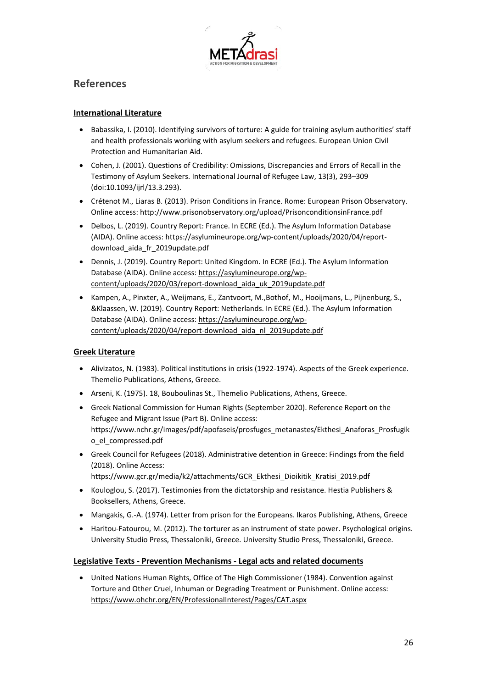

## **References**

#### **International Literature**

- Babassika, I. (2010). Identifying survivors of torture: A guide for training asylum authorities' staff and health professionals working with asylum seekers and refugees. European Union Civil Protection and Humanitarian Aid.
- Cohen, J. (2001). Questions of Credibility: Omissions, Discrepancies and Errors of Recall in the Testimony of Asylum Seekers. International Journal of Refugee Law, 13(3), 293–309 (doi:10.1093/ijrl/13.3.293).
- Crétenot M., Liaras B. (2013). Prison Conditions in France. Rome: European Prison Observatory. Online access: http://www.prisonobservatory.org/upload/PrisonconditionsinFrance.pdf
- Delbos, L. (2019). Country Report: France. In ECRE (Ed.). The Asylum Information Database (AIDA). Online access[: https://asylumineurope.org/wp-content/uploads/2020/04/report](https://asylumineurope.org/wp-content/uploads/2020/04/report-download_aida_fr_2019update.pdf)[download\\_aida\\_fr\\_2019update.pdf](https://asylumineurope.org/wp-content/uploads/2020/04/report-download_aida_fr_2019update.pdf)
- Dennis, J. (2019). Country Report: United Kingdom. In ECRE (Ed.). The Asylum Information Database (AIDA). Online access[: https://asylumineurope.org/wp](https://asylumineurope.org/wp-content/uploads/2020/03/report-download_aida_uk_2019update.pdf)[content/uploads/2020/03/report-download\\_aida\\_uk\\_2019update.pdf](https://asylumineurope.org/wp-content/uploads/2020/03/report-download_aida_uk_2019update.pdf)
- Kampen, Α., Pinxter, Α., Weijmans, Ε., Zantvoort, Μ.,Bothof, Μ., Hooijmans, L., Pijnenburg, S., &Klaassen, W. (2019). Country Report: Netherlands. In ECRE (Ed.). The Asylum Information Database (AIDA). Online access[: https://asylumineurope.org/wp](https://asylumineurope.org/wp-content/uploads/2020/04/report-download_aida_nl_2019update.pdf)[content/uploads/2020/04/report-download\\_aida\\_nl\\_2019update.pdf](https://asylumineurope.org/wp-content/uploads/2020/04/report-download_aida_nl_2019update.pdf)

#### **Greek Literature**

- Alivizatos, N. (1983). Political institutions in crisis (1922-1974). Aspects of the Greek experience. Themelio Publications, Athens, Greece.
- Arseni, K. (1975). 18, Bouboulinas St., Themelio Publications, Athens, Greece.
- Greek National Commission for Human Rights (September 2020). Reference Report on the Refugee and Migrant Issue (Part B). Online access: https://www.nchr.gr/images/pdf/apofaseis/prosfuges\_metanastes/Ekthesi\_Anaforas\_Prosfugik o\_el\_compressed.pdf
- Greek Council for Refugees (2018). Administrative detention in Greece: Findings from the field (2018). Online Access:
	- https://www.gcr.gr/media/k2/attachments/GCR\_Ekthesi\_Dioikitik\_Kratisi\_2019.pdf
- Kouloglou, S. (2017). Testimonies from the dictatorship and resistance. Hestia Publishers & Booksellers, Athens, Greece.
- Mangakis, G.-Α. (1974). Letter from prison for the Europeans. Ikaros Publishing, Athens, Greece
- Haritou-Fatourou, M. (2012). The torturer as an instrument of state power. Psychological origins. University Studio Press, Thessaloniki, Greece. University Studio Press, Thessaloniki, Greece.

#### **Legislative Texts - Prevention Mechanisms - Legal acts and related documents**

• United Nations Human Rights, Office of The High Commissioner (1984). Convention against Torture and Other Cruel, Inhuman or Degrading Treatment or Punishment. Online access: <https://www.ohchr.org/EN/ProfessionalInterest/Pages/CAT.aspx>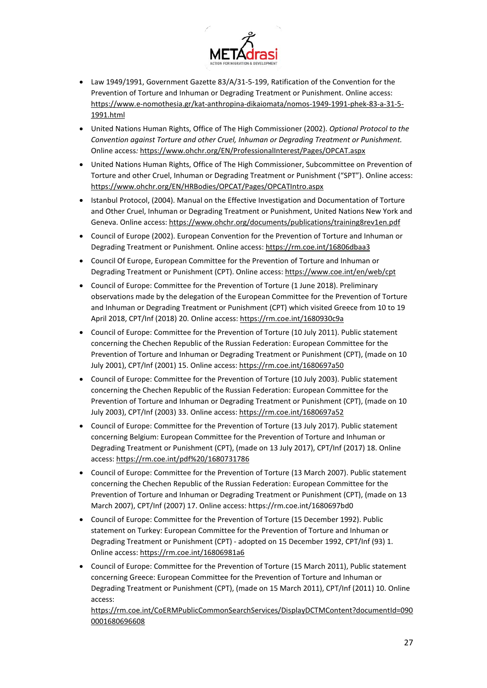

- Law 1949/1991, Government Gazette 83/A/31-5-199, Ratification of the Convention for the Prevention of Torture and Inhuman or Degrading Treatment or Punishment. Online access: [https://www.e-nomothesia.gr/kat-anthropina-dikaiomata/nomos-1949-1991-phek-83-a-31-5-](https://www.e-nomothesia.gr/kat-anthropina-dikaiomata/nomos-1949-1991-phek-83-a-31-5-1991.html) [1991.html](https://www.e-nomothesia.gr/kat-anthropina-dikaiomata/nomos-1949-1991-phek-83-a-31-5-1991.html)
- United Nations Human Rights, Office of The High Commissioner (2002). *Optional Protocol to the Convention against Torture and other Cruel, Inhuman or Degrading Treatment or Punishment.*  Online access*:* <https://www.ohchr.org/EN/ProfessionalInterest/Pages/OPCAT.aspx>
- United Nations Human Rights, Office of The High Commissioner, Subcommittee on Prevention of Torture and other Cruel, Inhuman or Degrading Treatment or Punishment ("SPT"). Online access: <https://www.ohchr.org/EN/HRBodies/OPCAT/Pages/OPCATIntro.aspx>
- Istanbul Protocol, (2004). Manual on the Effective Investigation and Documentation of Torture and Other Cruel, Inhuman or Degrading Treatment or Punishment, United Nations New York and Geneva. Online access:<https://www.ohchr.org/documents/publications/training8rev1en.pdf>
- Council of Europe (2002). European Convention for the Prevention of Torture and Inhuman or Degrading Treatment or Punishment*.* Online access:<https://rm.coe.int/16806dbaa3>
- Council Of Europe, European Committee for the Prevention of Torture and Inhuman or Degrading Treatment or Punishment (CPT). Online access[: https://www.coe.int/en/web/cpt](https://www.coe.int/en/web/cpt)
- Council of Europe: Committee for the Prevention of Torture (1 June 2018). Preliminary observations made by the delegation of the European Committee for the Prevention of Torture and Inhuman or Degrading Treatment or Punishment (CPT) which visited Greece from 10 to 19 April 2018, CPT/Inf (2018) 20. Online access[: https://rm.coe.int/1680930c9a](https://rm.coe.int/1680930c9a)
- Council of Europe: Committee for the Prevention of Torture (10 July 2011). Public statement concerning the Chechen Republic of the Russian Federation: European Committee for the Prevention of Torture and Inhuman or Degrading Treatment or Punishment (CPT), (made on 10 July 2001), CPT/Inf (2001) 15. Online access[: https://rm.coe.int/1680697a50](https://rm.coe.int/1680697a50)
- Council of Europe: Committee for the Prevention of Torture (10 July 2003). Public statement concerning the Chechen Republic of the Russian Federation: European Committee for the Prevention of Torture and Inhuman or Degrading Treatment or Punishment (CPT), (made on 10 July 2003), CPT/Inf (2003) 33. Online access[: https://rm.coe.int/1680697a52](https://rm.coe.int/1680697a52)
- Council of Europe: Committee for the Prevention of Torture (13 July 2017). Public statement concerning Belgium: European Committee for the Prevention of Torture and Inhuman or Degrading Treatment or Punishment (CPT), (made on 13 July 2017), CPT/Inf (2017) 18. Online access:<https://rm.coe.int/pdf%20/1680731786>
- Council of Europe: Committee for the Prevention of Torture (13 March 2007). Public statement concerning the Chechen Republic of the Russian Federation: European Committee for the Prevention of Torture and Inhuman or Degrading Treatment or Punishment (CPT), (made on 13 March 2007), CPT/Inf (2007) 17. Online access: https://rm.coe.int/1680697bd0
- Council of Europe: Committee for the Prevention of Torture (15 December 1992). Public statement on Turkey: European Committee for the Prevention of Torture and Inhuman or Degrading Treatment or Punishment (CPT) - adopted on 15 December 1992, CPT/Inf (93) 1. Online access:<https://rm.coe.int/16806981a6>
- Council of Europe: Committee for the Prevention of Torture (15 March 2011), Public statement concerning Greece: European Committee for the Prevention of Torture and Inhuman or Degrading Treatment or Punishment (CPT), (made on 15 March 2011), CPT/Inf (2011) 10. Online access:

[https://rm.coe.int/CoERMPublicCommonSearchServices/DisplayDCTMContent?documentId=090](https://rm.coe.int/CoERMPublicCommonSearchServices/DisplayDCTMContent?documentId=0900001680696608) [0001680696608](https://rm.coe.int/CoERMPublicCommonSearchServices/DisplayDCTMContent?documentId=0900001680696608)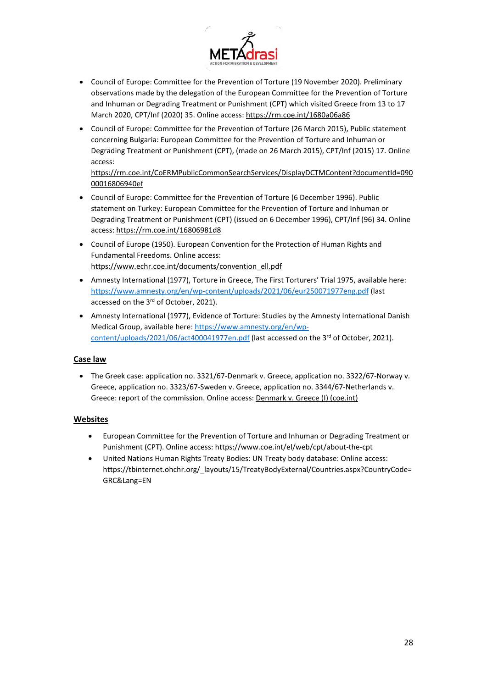

- Council of Europe: Committee for the Prevention of Torture (19 November 2020). Preliminary observations made by the delegation of the European Committee for the Prevention of Torture and Inhuman or Degrading Treatment or Punishment (CPT) which visited Greece from 13 to 17 March 2020, CPT/Inf (2020) 35. Online access[: https://rm.coe.int/1680a06a86](https://rm.coe.int/1680a06a86)
- Council of Europe: Committee for the Prevention of Torture (26 March 2015), Public statement concerning Bulgaria: European Committee for the Prevention of Torture and Inhuman or Degrading Treatment or Punishment (CPT), (made on 26 March 2015), CPT/Inf (2015) 17. Online access:

[https://rm.coe.int/CoERMPublicCommonSearchServices/DisplayDCTMContent?documentId=090](https://rm.coe.int/CoERMPublicCommonSearchServices/DisplayDCTMContent?documentId=09000016806940ef) [00016806940ef](https://rm.coe.int/CoERMPublicCommonSearchServices/DisplayDCTMContent?documentId=09000016806940ef) 

- Council of Europe: Committee for the Prevention of Torture (6 December 1996). Public statement on Turkey: European Committee for the Prevention of Torture and Inhuman or Degrading Treatment or Punishment (CPT) (issued on 6 December 1996), CPT/Inf (96) 34. Online access:<https://rm.coe.int/16806981d8>
- Council of Europe (1950). European Convention for the Protection of Human Rights and Fundamental Freedoms. Online access: [https://www.echr.coe.int/documents/convention\\_ell.pdf](https://www.echr.coe.int/documents/convention_ell.pdf)
- Amnesty International (1977), Torture in Greece, The First Torturers' Trial 1975, available here: <https://www.amnesty.org/en/wp-content/uploads/2021/06/eur250071977eng.pdf> (last accessed on the 3rd of October, 2021).
- Amnesty International (1977), Evidence of Torture: Studies by the Amnesty International Danish Medical Group, available here: [https://www.amnesty.org/en/wp](https://www.amnesty.org/en/wp-content/uploads/2021/06/act400041977en.pdf)[content/uploads/2021/06/act400041977en.pdf](https://www.amnesty.org/en/wp-content/uploads/2021/06/act400041977en.pdf) (last accessed on the 3<sup>rd</sup> of October, 2021).

#### **Case law**

• The Greek case: application no. 3321/67-Denmark v. Greece, application no. 3322/67-Norway v. Greece, application no. 3323/67-Sweden v. Greece, application no. 3344/67-Netherlands v. Greece: report of the commission. Online access: [Denmark v. Greece \(I\) \(coe.int\)](https://www.echr.coe.int/Documents/Denmark_v_Greece_I.pdf)

#### **Websites**

- European Committee for the Prevention of Torture and Inhuman or Degrading Treatment or Punishment (CPT). Online access: https://www.coe.int/el/web/cpt/about-the-cpt
- United Nations Human Rights Treaty Bodies: UN Treaty body database: Online access: https://tbinternet.ohchr.org/\_layouts/15/TreatyBodyExternal/Countries.aspx?CountryCode= GRC&Lang=EN